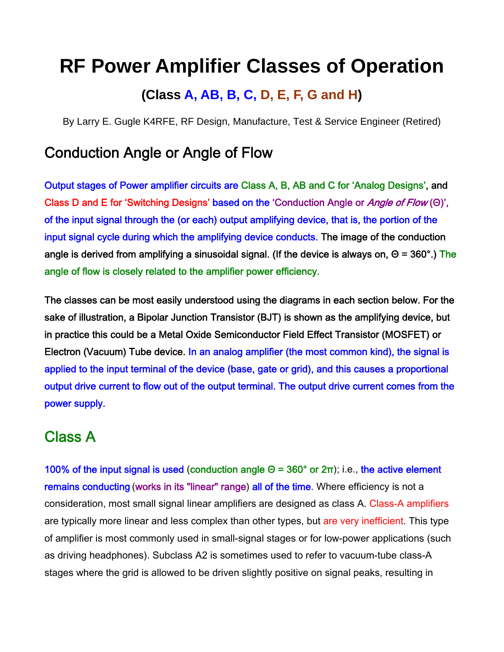# **RF Power Amplifier Classes of Operation**

#### **(Class A, AB, B, C, D, E, F, G and H)**

By Larry E. Gugle K4RFE, RF Design, Manufacture, Test & Service Engineer (Retired)

#### Conduction Angle or Angle of Flow

Output stages of Power amplifier circuits are Class A, B, AB and C for 'Analog Designs', and Class D and E for 'Switching Designs' based on the 'Conduction Angle or Angle of Flow (Θ)', of the input signal through the (or each) output amplifying device, that is, the portion of the input signal cycle during which the amplifying device conducts. The image of the conduction angle is derived from amplifying a sinusoidal signal. (If the device is always on,  $\Theta$  = 360°.) The angle of flow is closely related to the amplifier power efficiency.

The classes can be most easily understood using the diagrams in each section below. For the sake of illustration, a Bipolar Junction Transistor (BJT) is shown as the amplifying device, but in practice this could be a Metal Oxide Semiconductor Field Effect Transistor (MOSFET) or Electron (Vacuum) Tube device. In an analog amplifier (the most common kind), the signal is applied to the input terminal of the device (base, gate or grid), and this causes a proportional output drive current to flow out of the output terminal. The output drive current comes from the power supply.

# Class A

100% of the input signal is used (conduction angle  $Θ = 360°$  or  $2π$ ); i.e., the active element remains conducting (works in its "linear" range) all of the time. Where efficiency is not a consideration, most small signal linear amplifiers are designed as class A. Class-A amplifiers are typically more linear and less complex than other types, but are very inefficient. This type of amplifier is most commonly used in small-signal stages or for low-power applications (such as driving headphones). Subclass A2 is sometimes used to refer to vacuum-tube class-A stages where the grid is allowed to be driven slightly positive on signal peaks, resulting in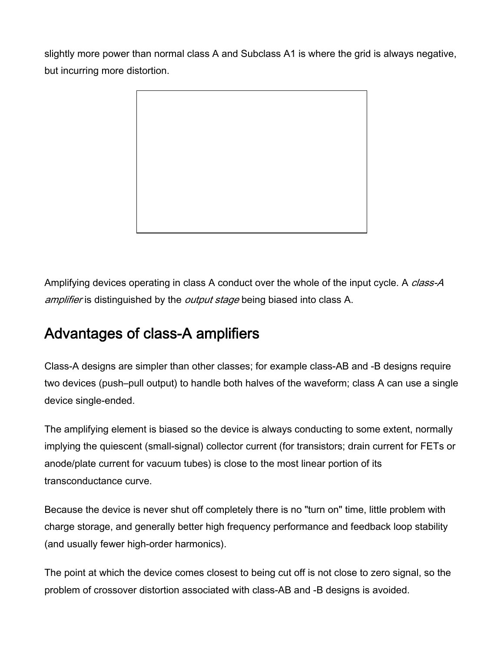slightly more power than normal class A and Subclass A1 is where the grid is always negative, but incurring more distortion.



Amplifying devices operating in class A conduct over the whole of the input cycle. A *class-A* amplifier is distinguished by the *output stage* being biased into class A.

# Advantages of class-A amplifiers

Class-A designs are simpler than other classes; for example class-AB and -B designs require two devices (push–pull output) to handle both halves of the waveform; class A can use a single device single-ended.

The amplifying element is biased so the device is always conducting to some extent, normally implying the quiescent (small-signal) collector current (for transistors; drain current for FETs or anode/plate current for vacuum tubes) is close to the most linear portion of its transconductance curve.

Because the device is never shut off completely there is no "turn on" time, little problem with charge storage, and generally better high frequency performance and feedback loop stability (and usually fewer high-order harmonics).

The point at which the device comes closest to being cut off is not close to zero signal, so the problem of crossover distortion associated with class-AB and -B designs is avoided.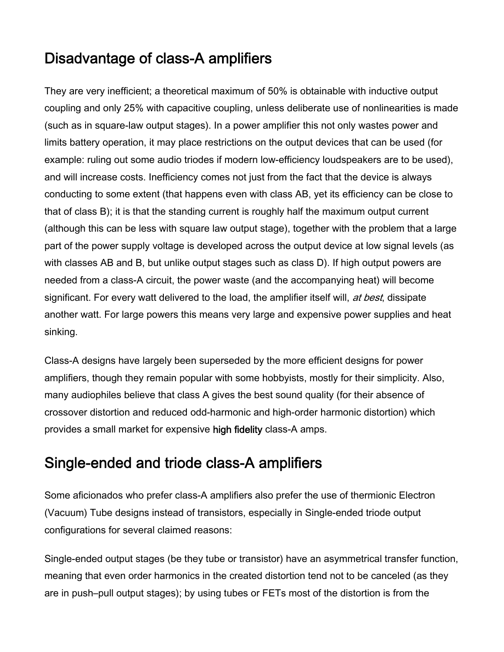### Disadvantage of class-A amplifiers

They are very inefficient; a theoretical maximum of 50% is obtainable with inductive output coupling and only 25% with capacitive coupling, unless deliberate use of nonlinearities is made (such as in square-law output stages). In a power amplifier this not only wastes power and limits battery operation, it may place restrictions on the output devices that can be used (for example: ruling out some audio triodes if modern low-efficiency loudspeakers are to be used), and will increase costs. Inefficiency comes not just from the fact that the device is always conducting to some extent (that happens even with class AB, yet its efficiency can be close to that of class B); it is that the standing current is roughly half the maximum output current (although this can be less with square law output stage), together with the problem that a large part of the power supply voltage is developed across the output device at low signal levels (as with classes AB and B, but unlike output stages such as class D). If high output powers are needed from a class-A circuit, the power waste (and the accompanying heat) will become significant. For every watt delivered to the load, the amplifier itself will, at best, dissipate another watt. For large powers this means very large and expensive power supplies and heat sinking.

Class-A designs have largely been superseded by the more efficient designs for power amplifiers, though they remain popular with some hobbyists, mostly for their simplicity. Also, many audiophiles believe that class A gives the best sound quality (for their absence of crossover distortion and reduced odd-harmonic and high-order harmonic distortion) which provides a small market for expensive high fidelity class-A amps.

### Single-ended and triode class-A amplifiers

Some aficionados who prefer class-A amplifiers also prefer the use of thermionic Electron (Vacuum) Tube designs instead of transistors, especially in Single-ended triode output configurations for several claimed reasons:

Single-ended output stages (be they tube or transistor) have an asymmetrical transfer function, meaning that even order harmonics in the created distortion tend not to be canceled (as they are in push–pull output stages); by using tubes or FETs most of the distortion is from the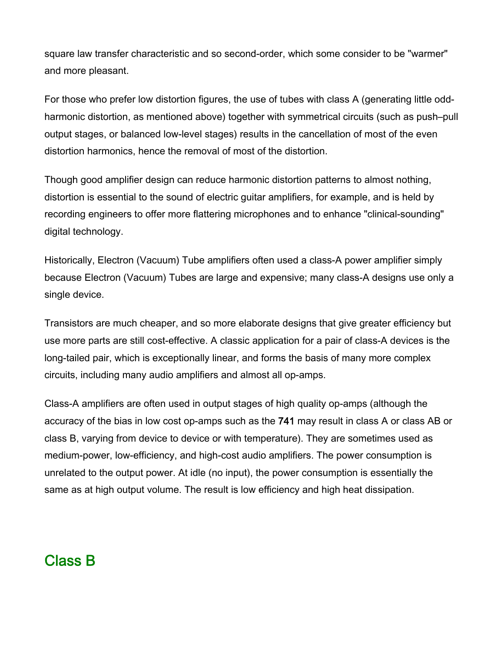square law transfer characteristic and so second-order, which some consider to be "warmer" and more pleasant.

For those who prefer low distortion figures, the use of tubes with class A (generating little oddharmonic distortion, as mentioned above) together with symmetrical circuits (such as push–pull output stages, or balanced low-level stages) results in the cancellation of most of the even distortion harmonics, hence the removal of most of the distortion.

Though good amplifier design can reduce harmonic distortion patterns to almost nothing, distortion is essential to the sound of electric guitar amplifiers, for example, and is held by recording engineers to offer more flattering microphones and to enhance "clinical-sounding" digital technology.

Historically, Electron (Vacuum) Tube amplifiers often used a class-A power amplifier simply because Electron (Vacuum) Tubes are large and expensive; many class-A designs use only a single device.

Transistors are much cheaper, and so more elaborate designs that give greater efficiency but use more parts are still cost-effective. A classic application for a pair of class-A devices is the long-tailed pair, which is exceptionally linear, and forms the basis of many more complex circuits, including many audio amplifiers and almost all op-amps.

Class-A amplifiers are often used in output stages of high quality op-amps (although the accuracy of the bias in low cost op-amps such as the 741 may result in class A or class AB or class B, varying from device to device or with temperature). They are sometimes used as medium-power, low-efficiency, and high-cost audio amplifiers. The power consumption is unrelated to the output power. At idle (no input), the power consumption is essentially the same as at high output volume. The result is low efficiency and high heat dissipation.

### Class B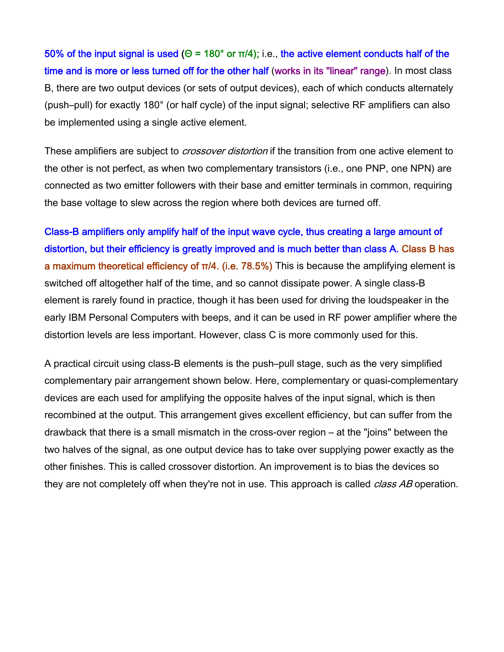50% of the input signal is used (Θ = 180° or π/4); i.e., the active element conducts half of the time and is more or less turned off for the other half (works in its "linear" range). In most class B, there are two output devices (or sets of output devices), each of which conducts alternately (push–pull) for exactly 180° (or half cycle) of the input signal; selective RF amplifiers can also be implemented using a single active element.

These amplifiers are subject to *crossover distortion* if the transition from one active element to the other is not perfect, as when two complementary transistors (i.e., one PNP, one NPN) are connected as two emitter followers with their base and emitter terminals in common, requiring the base voltage to slew across the region where both devices are turned off.

Class-B amplifiers only amplify half of the input wave cycle, thus creating a large amount of distortion, but their efficiency is greatly improved and is much better than class A. Class B has a maximum theoretical efficiency of  $π/4$ . (i.e. 78.5%) This is because the amplifying element is switched off altogether half of the time, and so cannot dissipate power. A single class-B element is rarely found in practice, though it has been used for driving the loudspeaker in the early IBM Personal Computers with beeps, and it can be used in RF power amplifier where the distortion levels are less important. However, class C is more commonly used for this.

A practical circuit using class-B elements is the push–pull stage, such as the very simplified complementary pair arrangement shown below. Here, complementary or quasi-complementary devices are each used for amplifying the opposite halves of the input signal, which is then recombined at the output. This arrangement gives excellent efficiency, but can suffer from the drawback that there is a small mismatch in the cross-over region – at the "joins" between the two halves of the signal, as one output device has to take over supplying power exactly as the other finishes. This is called crossover distortion. An improvement is to bias the devices so they are not completely off when they're not in use. This approach is called *class AB* operation.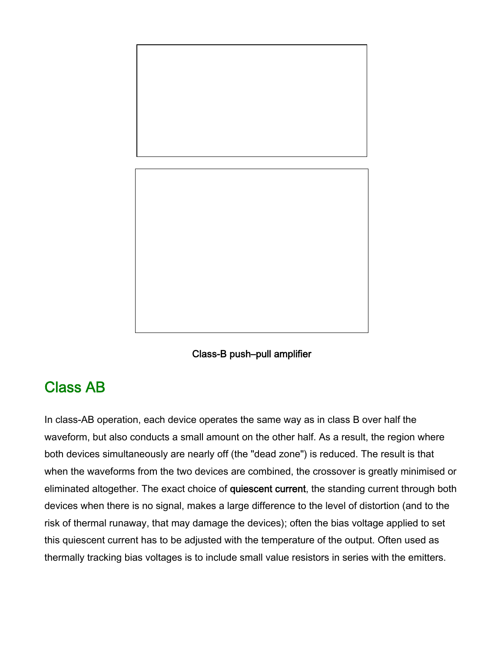



#### Class AB

In class-AB operation, each device operates the same way as in class B over half the waveform, but also conducts a small amount on the other half. As a result, the region where both devices simultaneously are nearly off (the "dead zone") is reduced. The result is that when the waveforms from the two devices are combined, the crossover is greatly minimised or eliminated altogether. The exact choice of quiescent current, the standing current through both devices when there is no signal, makes a large difference to the level of distortion (and to the risk of thermal runaway, that may damage the devices); often the bias voltage applied to set this quiescent current has to be adjusted with the temperature of the output. Often used as thermally tracking bias voltages is to include small value resistors in series with the emitters.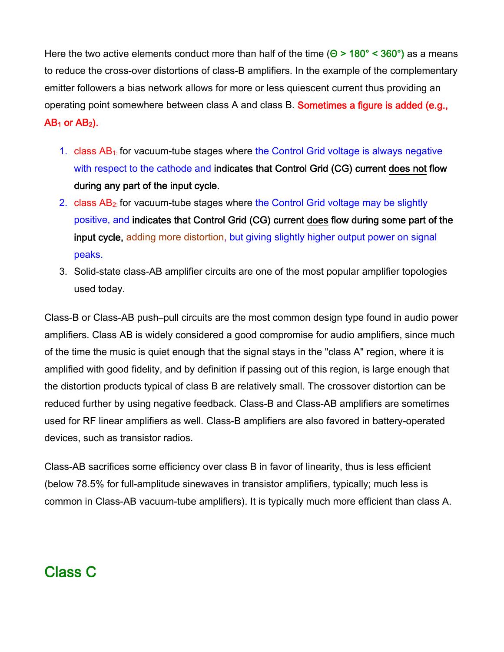Here the two active elements conduct more than half of the time ( $\Theta$  > 180° < 360°) as a means to reduce the cross-over distortions of class-B amplifiers. In the example of the complementary emitter followers a bias network allows for more or less quiescent current thus providing an operating point somewhere between class A and class B. **Sometimes a figure is added (e.g.,**  $AB_1$  or  $AB_2$ ).

- 1. class  $AB<sub>1</sub>$  for vacuum-tube stages where the Control Grid voltage is always negative with respect to the cathode and indicates that Control Grid (CG) current does not flow during any part of the input cycle.
- 2. class  $AB<sub>2</sub>$  for vacuum-tube stages where the Control Grid voltage may be slightly positive, and indicates that Control Grid (CG) current does flow during some part of the input cycle, adding more distortion, but giving slightly higher output power on signal peaks.
- 3. Solid-state class-AB amplifier circuits are one of the most popular amplifier topologies used today.

Class-B or Class-AB push–pull circuits are the most common design type found in audio power amplifiers. Class AB is widely considered a good compromise for audio amplifiers, since much of the time the music is quiet enough that the signal stays in the "class A" region, where it is amplified with good fidelity, and by definition if passing out of this region, is large enough that the distortion products typical of class B are relatively small. The crossover distortion can be reduced further by using negative feedback. Class-B and Class-AB amplifiers are sometimes used for RF linear amplifiers as well. Class-B amplifiers are also favored in battery-operated devices, such as transistor radios.

Class-AB sacrifices some efficiency over class B in favor of linearity, thus is less efficient (below 78.5% for full-amplitude sinewaves in transistor amplifiers, typically; much less is common in Class-AB vacuum-tube amplifiers). It is typically much more efficient than class A.

#### Class C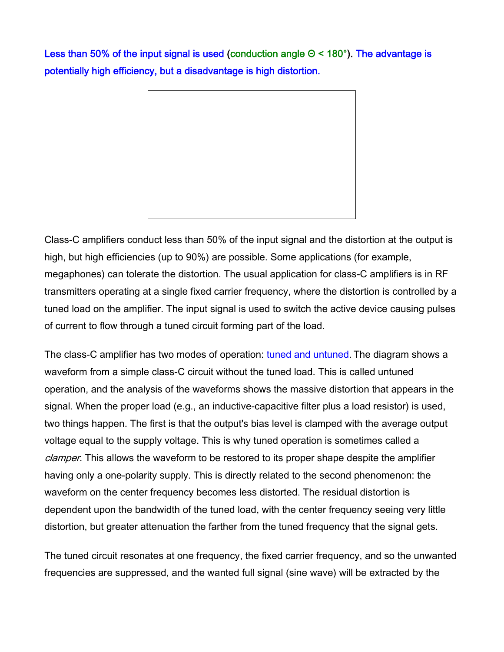Less than 50% of the input signal is used (conduction angle Θ < 180°). The advantage is potentially high efficiency, but a disadvantage is high distortion.



Class-C amplifiers conduct less than 50% of the input signal and the distortion at the output is high, but high efficiencies (up to 90%) are possible. Some applications (for example, megaphones) can tolerate the distortion. The usual application for class-C amplifiers is in RF transmitters operating at a single fixed carrier frequency, where the distortion is controlled by a tuned load on the amplifier. The input signal is used to switch the active device causing pulses of current to flow through a tuned circuit forming part of the load.

The class-C amplifier has two modes of operation: tuned and untuned. The diagram shows a waveform from a simple class-C circuit without the tuned load. This is called untuned operation, and the analysis of the waveforms shows the massive distortion that appears in the signal. When the proper load (e.g., an inductive-capacitive filter plus a load resistor) is used, two things happen. The first is that the output's bias level is clamped with the average output voltage equal to the supply voltage. This is why tuned operation is sometimes called a clamper. This allows the waveform to be restored to its proper shape despite the amplifier having only a one-polarity supply. This is directly related to the second phenomenon: the waveform on the center frequency becomes less distorted. The residual distortion is dependent upon the bandwidth of the tuned load, with the center frequency seeing very little distortion, but greater attenuation the farther from the tuned frequency that the signal gets.

The tuned circuit resonates at one frequency, the fixed carrier frequency, and so the unwanted frequencies are suppressed, and the wanted full signal (sine wave) will be extracted by the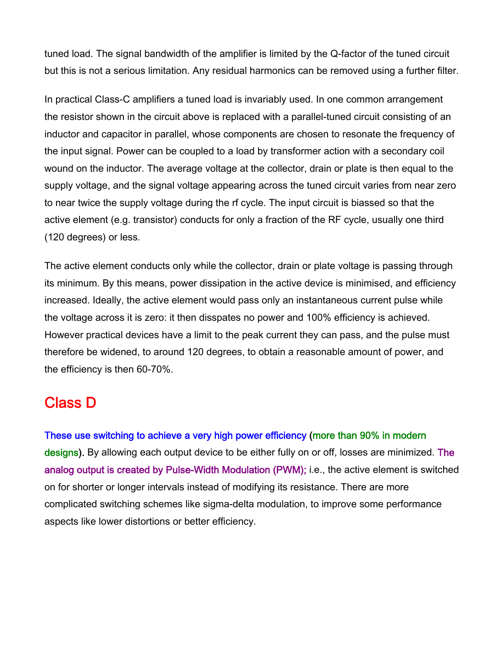tuned load. The signal bandwidth of the amplifier is limited by the Q-factor of the tuned circuit but this is not a serious limitation. Any residual harmonics can be removed using a further filter.

In practical Class-C amplifiers a tuned load is invariably used. In one common arrangement the resistor shown in the circuit above is replaced with a parallel-tuned circuit consisting of an inductor and capacitor in parallel, whose components are chosen to resonate the frequency of the input signal. Power can be coupled to a load by transformer action with a secondary coil wound on the inductor. The average voltage at the collector, drain or plate is then equal to the supply voltage, and the signal voltage appearing across the tuned circuit varies from near zero to near twice the supply voltage during the rf cycle. The input circuit is biassed so that the active element (e.g. transistor) conducts for only a fraction of the RF cycle, usually one third (120 degrees) or less.

The active element conducts only while the collector, drain or plate voltage is passing through its minimum. By this means, power dissipation in the active device is minimised, and efficiency increased. Ideally, the active element would pass only an instantaneous current pulse while the voltage across it is zero: it then disspates no power and 100% efficiency is achieved. However practical devices have a limit to the peak current they can pass, and the pulse must therefore be widened, to around 120 degrees, to obtain a reasonable amount of power, and the efficiency is then 60-70%.

#### Class D

These use switching to achieve a very high power efficiency (more than 90% in modern designs). By allowing each output device to be either fully on or off, losses are minimized. The analog output is created by Pulse-Width Modulation (PWM); i.e., the active element is switched on for shorter or longer intervals instead of modifying its resistance. There are more complicated switching schemes like sigma-delta modulation, to improve some performance aspects like lower distortions or better efficiency.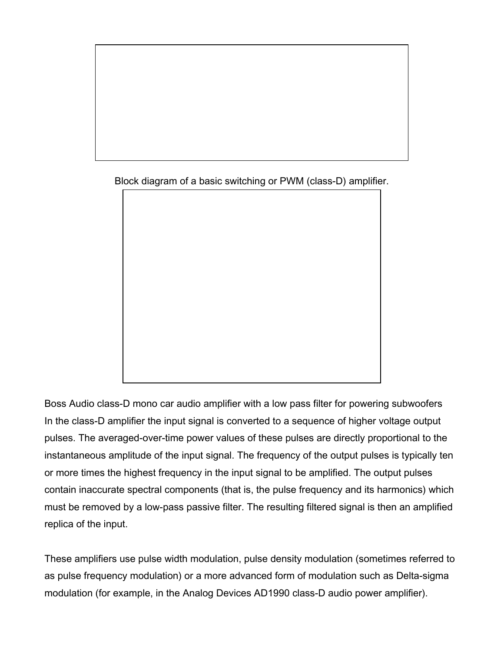

Block diagram of a basic switching or PWM (class-D) amplifier.

Boss Audio class-D mono car audio amplifier with a low pass filter for powering subwoofers In the class-D amplifier the input signal is converted to a sequence of higher voltage output pulses. The averaged-over-time power values of these pulses are directly proportional to the instantaneous amplitude of the input signal. The frequency of the output pulses is typically ten or more times the highest frequency in the input signal to be amplified. The output pulses

contain inaccurate spectral components (that is, the pulse frequency and its harmonics) which must be removed by a low-pass passive filter. The resulting filtered signal is then an amplified replica of the input.

These amplifiers use pulse width modulation, pulse density modulation (sometimes referred to as pulse frequency modulation) or a more advanced form of modulation such as Delta-sigma modulation (for example, in the Analog Devices AD1990 class-D audio power amplifier).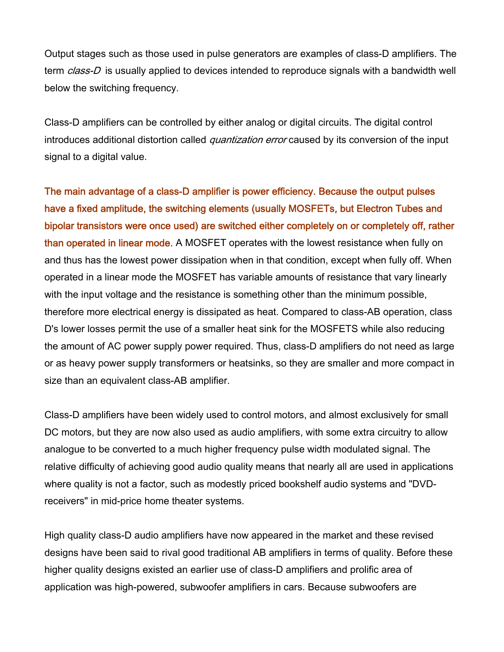Output stages such as those used in pulse generators are examples of class-D amplifiers. The term *class-D* is usually applied to devices intended to reproduce signals with a bandwidth well below the switching frequency.

Class-D amplifiers can be controlled by either analog or digital circuits. The digital control introduces additional distortion called *quantization error* caused by its conversion of the input signal to a digital value.

The main advantage of a class-D amplifier is power efficiency. Because the output pulses have a fixed amplitude, the switching elements (usually MOSFETs, but Electron Tubes and bipolar transistors were once used) are switched either completely on or completely off, rather than operated in linear mode. A MOSFET operates with the lowest resistance when fully on and thus has the lowest power dissipation when in that condition, except when fully off. When operated in a linear mode the MOSFET has variable amounts of resistance that vary linearly with the input voltage and the resistance is something other than the minimum possible, therefore more electrical energy is dissipated as heat. Compared to class-AB operation, class D's lower losses permit the use of a smaller heat sink for the MOSFETS while also reducing the amount of AC power supply power required. Thus, class-D amplifiers do not need as large or as heavy power supply transformers or heatsinks, so they are smaller and more compact in size than an equivalent class-AB amplifier.

Class-D amplifiers have been widely used to control motors, and almost exclusively for small DC motors, but they are now also used as audio amplifiers, with some extra circuitry to allow analogue to be converted to a much higher frequency pulse width modulated signal. The relative difficulty of achieving good audio quality means that nearly all are used in applications where quality is not a factor, such as modestly priced bookshelf audio systems and "DVDreceivers" in mid-price home theater systems.

High quality class-D audio amplifiers have now appeared in the market and these revised designs have been said to rival good traditional AB amplifiers in terms of quality. Before these higher quality designs existed an earlier use of class-D amplifiers and prolific area of application was high-powered, subwoofer amplifiers in cars. Because subwoofers are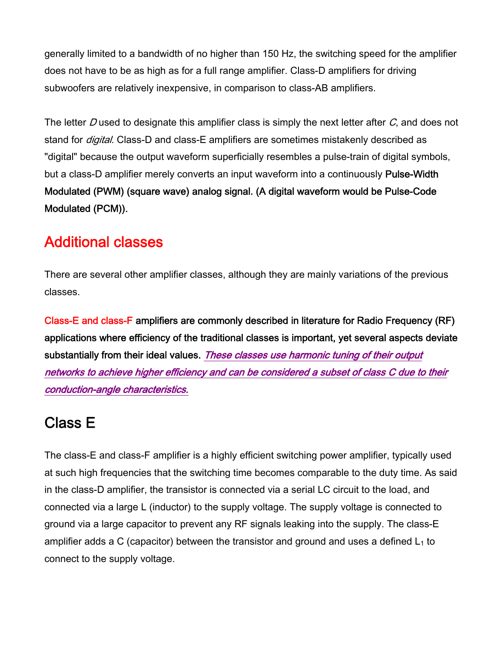generally limited to a bandwidth of no higher than 150 Hz, the switching speed for the amplifier does not have to be as high as for a full range amplifier. Class-D amplifiers for driving subwoofers are relatively inexpensive, in comparison to class-AB amplifiers.

The letter D used to designate this amplifier class is simply the next letter after  $C$ , and does not stand for *digital*. Class-D and class-E amplifiers are sometimes mistakenly described as "digital" because the output waveform superficially resembles a pulse-train of digital symbols, but a class-D amplifier merely converts an input waveform into a continuously Pulse-Width Modulated (PWM) (square wave) analog signal. (A digital waveform would be Pulse-Code Modulated (PCM)).

# Additional classes

There are several other amplifier classes, although they are mainly variations of the previous classes.

Class-E and class-F amplifiers are commonly described in literature for Radio Frequency (RF) applications where efficiency of the traditional classes is important, yet several aspects deviate substantially from their ideal values. These classes use harmonic tuning of their output networks to achieve higher efficiency and can be considered a subset of class C due to their conduction-angle characteristics.

### Class E

The class-E and class-F amplifier is a highly efficient switching power amplifier, typically used at such high frequencies that the switching time becomes comparable to the duty time. As said in the class-D amplifier, the transistor is connected via a serial LC circuit to the load, and connected via a large L (inductor) to the supply voltage. The supply voltage is connected to ground via a large capacitor to prevent any RF signals leaking into the supply. The class-E amplifier adds a C (capacitor) between the transistor and ground and uses a defined  $L_1$  to connect to the supply voltage.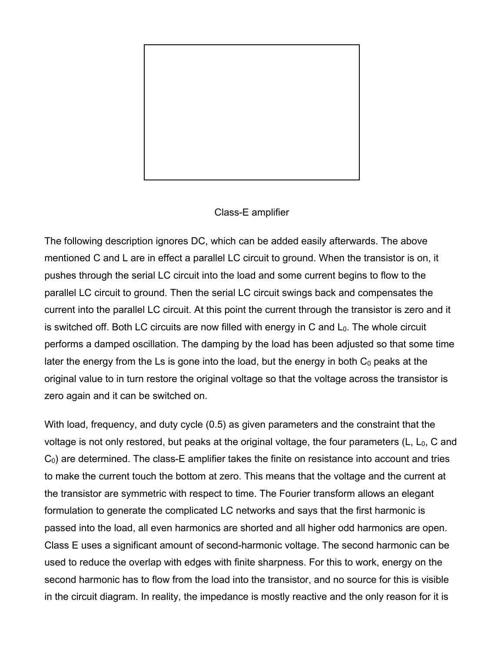

#### Class-E amplifier

The following description ignores DC, which can be added easily afterwards. The above mentioned C and L are in effect a parallel LC circuit to ground. When the transistor is on, it pushes through the serial LC circuit into the load and some current begins to flow to the parallel LC circuit to ground. Then the serial LC circuit swings back and compensates the current into the parallel LC circuit. At this point the current through the transistor is zero and it is switched off. Both LC circuits are now filled with energy in  $C$  and  $L_0$ . The whole circuit performs a damped oscillation. The damping by the load has been adjusted so that some time later the energy from the Ls is gone into the load, but the energy in both  $C_0$  peaks at the original value to in turn restore the original voltage so that the voltage across the transistor is zero again and it can be switched on.

With load, frequency, and duty cycle (0.5) as given parameters and the constraint that the voltage is not only restored, but peaks at the original voltage, the four parameters  $(L, L_0, C)$  and  $C_0$ ) are determined. The class-E amplifier takes the finite on resistance into account and tries to make the current touch the bottom at zero. This means that the voltage and the current at the transistor are symmetric with respect to time. The Fourier transform allows an elegant formulation to generate the complicated LC networks and says that the first harmonic is passed into the load, all even harmonics are shorted and all higher odd harmonics are open. Class E uses a significant amount of second-harmonic voltage. The second harmonic can be used to reduce the overlap with edges with finite sharpness. For this to work, energy on the second harmonic has to flow from the load into the transistor, and no source for this is visible in the circuit diagram. In reality, the impedance is mostly reactive and the only reason for it is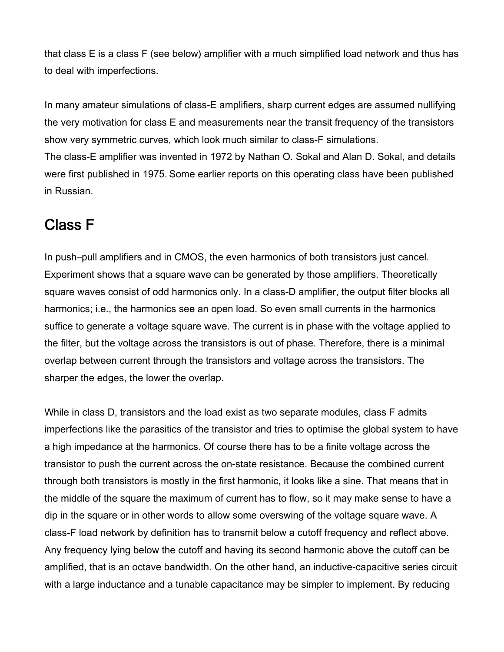that class E is a class F (see below) amplifier with a much simplified load network and thus has to deal with imperfections.

In many amateur simulations of class-E amplifiers, sharp current edges are assumed nullifying the very motivation for class E and measurements near the transit frequency of the transistors show very symmetric curves, which look much similar to class-F simulations.

The class-E amplifier was invented in 1972 by Nathan O. Sokal and Alan D. Sokal, and details were first published in 1975. Some earlier reports on this operating class have been published in Russian.

#### Class F

In push–pull amplifiers and in CMOS, the even harmonics of both transistors just cancel. Experiment shows that a square wave can be generated by those amplifiers. Theoretically square waves consist of odd harmonics only. In a class-D amplifier, the output filter blocks all harmonics; i.e., the harmonics see an open load. So even small currents in the harmonics suffice to generate a voltage square wave. The current is in phase with the voltage applied to the filter, but the voltage across the transistors is out of phase. Therefore, there is a minimal overlap between current through the transistors and voltage across the transistors. The sharper the edges, the lower the overlap.

While in class D, transistors and the load exist as two separate modules, class F admits imperfections like the parasitics of the transistor and tries to optimise the global system to have a high impedance at the harmonics. Of course there has to be a finite voltage across the transistor to push the current across the on-state resistance. Because the combined current through both transistors is mostly in the first harmonic, it looks like a sine. That means that in the middle of the square the maximum of current has to flow, so it may make sense to have a dip in the square or in other words to allow some overswing of the voltage square wave. A class-F load network by definition has to transmit below a cutoff frequency and reflect above. Any frequency lying below the cutoff and having its second harmonic above the cutoff can be amplified, that is an octave bandwidth. On the other hand, an inductive-capacitive series circuit with a large inductance and a tunable capacitance may be simpler to implement. By reducing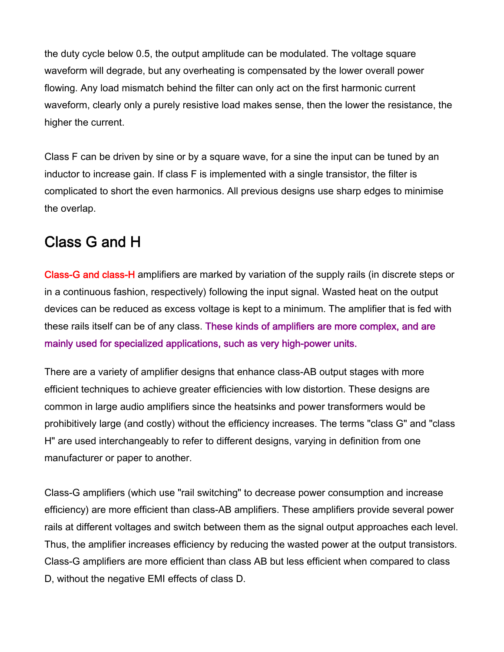the duty cycle below 0.5, the output amplitude can be modulated. The voltage square waveform will degrade, but any overheating is compensated by the lower overall power flowing. Any load mismatch behind the filter can only act on the first harmonic current waveform, clearly only a purely resistive load makes sense, then the lower the resistance, the higher the current.

Class F can be driven by sine or by a square wave, for a sine the input can be tuned by an inductor to increase gain. If class F is implemented with a single transistor, the filter is complicated to short the even harmonics. All previous designs use sharp edges to minimise the overlap.

# Class G and H

Class-G and class-H amplifiers are marked by variation of the supply rails (in discrete steps or in a continuous fashion, respectively) following the input signal. Wasted heat on the output devices can be reduced as excess voltage is kept to a minimum. The amplifier that is fed with these rails itself can be of any class. These kinds of amplifiers are more complex, and are mainly used for specialized applications, such as very high-power units.

There are a variety of amplifier designs that enhance class-AB output stages with more efficient techniques to achieve greater efficiencies with low distortion. These designs are common in large audio amplifiers since the heatsinks and power transformers would be prohibitively large (and costly) without the efficiency increases. The terms "class G" and "class H" are used interchangeably to refer to different designs, varying in definition from one manufacturer or paper to another.

Class-G amplifiers (which use "rail switching" to decrease power consumption and increase efficiency) are more efficient than class-AB amplifiers. These amplifiers provide several power rails at different voltages and switch between them as the signal output approaches each level. Thus, the amplifier increases efficiency by reducing the wasted power at the output transistors. Class-G amplifiers are more efficient than class AB but less efficient when compared to class D, without the negative EMI effects of class D.